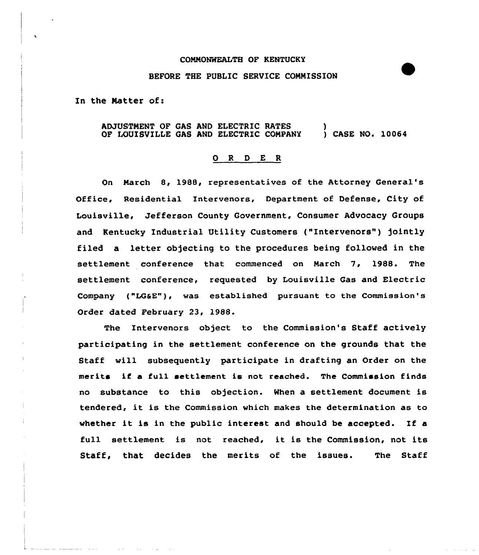## COMMONWEALTH OF KENTUCKY

## BEFORE THE PUBLIC SERVICE COMMISSION

In the Matter of:

## ADJUSTMENT OF GAS AND ELECTRIC RATES OF LOUISVILLE GAS AND ELECTRIC COMPANY )<br>) CASE NO. 10064

## 0 <sup>R</sup> <sup>D</sup> E <sup>R</sup>

On March 8, 1988, representatives of the Attorney General' Office, Residential Intervenors, Department of Defense, City of Louisville, Jefferson County Government, Consumer Advocacy Groups and Kentucky Industrial Utility Customers ("Intervenors") jointly filed a letter objecting to the procedures being followed in the settlement conference that commenced on March 7, 1988. The settlement conference, requested by Louisville Gas and Electric Company ("LG&E"), was established pursuant to the Commission's Order dated February 23, 198&.

The Intervenors object to the Commission's Staff actively participating in the settlement conference on the grounds that the Staff will subsequently participate in drafting an Order on the merits if <sup>a</sup> full settlement is not reached. The Commission finds no substance to this objection. When a settlement document is tendered, it is the Commission which makes the determination as to whether it is in the public interest and should be accepted. If <sup>a</sup> full settlement is not reached, it is the Commission, not its Staff, that decides the merits of the issues. The Staff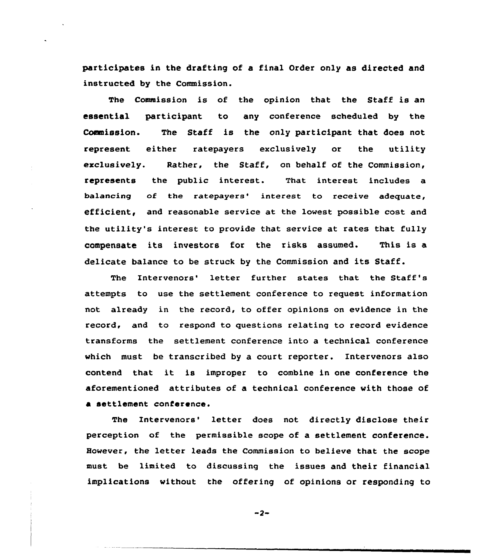participates in the drafting of a final Order only as directed and instructed by the Commission.

The Commission is of the opinion that the Staff is an essential participant to any conference scheduled by the Commission. The Staff is the only participant that does not represent either ratepayers exclusively or the utility exclusively. Rather, the Staff, on behalf of the Commission, represents the public interest. That interest includes a balancing of the ratepayers' interest to receive adequate, efficient, and reasonable service at the lowest possible cost and the utility's interest to provide that service at rates that fully compensate its investors for the risks assumed. This is a delicate balance to be struck by the Commission and its Staff.

The Intervenors' letter further states that the Staff's attempts to use the settlement conference to request information not already in the record, to offer opinions on evidence in the record, and to respond to questions relating to record evidence transforms the settlement conference into a technical conference which must be transcribed by a court reporter. Intervenors also contend that it is improper to combine in one conference the aforementioned attributes of a technical conference with those of a settlement conference.

The Intervenors' letter does not directly disclose their perception of the permissible scope of a settlement conference. However, the letter leads the Commission to believe that the scope must be limited to discussing the issues and their financial implications without the offering of opinions or responding to

 $-2-$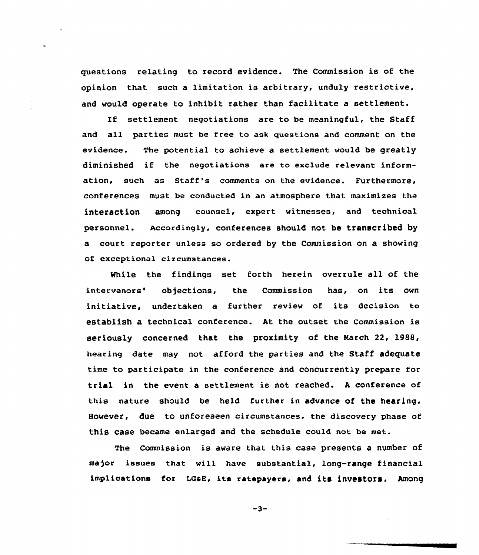questions relating to record evidence. The Commission is of the opinion that such a limitation is arbitrary, unduly restrictive, and would operate to inhibit rather than facilitate a settlement.

If settlement negotiations are to be meaningful, the Staff and all parties must be free to ask questions and comment on the evidence. The potential to achieve a settlement would be greatly diminished if the negotiations are to exclude relevant information, such as Staff's comments on the evidence. Furthermore, conferences must be conducted in an atmosphere that maximizes the interaction among counsel, expert witnesses, and technical personnel. Accordingly, conferences should not be transcribed by a court reporter unless so ordered by the Commission on a showing of exceptional circumstances.

While the findings set forth herein overrule all of the intervenors' objections, the Commission has, on its own initiative, undertaken a further review of its decision to establish a technical conference. At the outset the Commission is seriously concerned that the proximity of the March 22, 1988, hearing date may not afford the parties and the Staff adequate time to participate in the conference and concurrently prepare for trial in the event a settlement is not reached. <sup>A</sup> conference of this nature should be held further in advance of the hearing. However, due to unforeseen circumstances, the discovery phase of this case became enlarged and the schedule could not be met.

The Commission is aware that this case presents a number of ma)or issues that will have substantial, long-range financial implications for LGaE, its ratepayers, and its investors. Among

 $-3-$